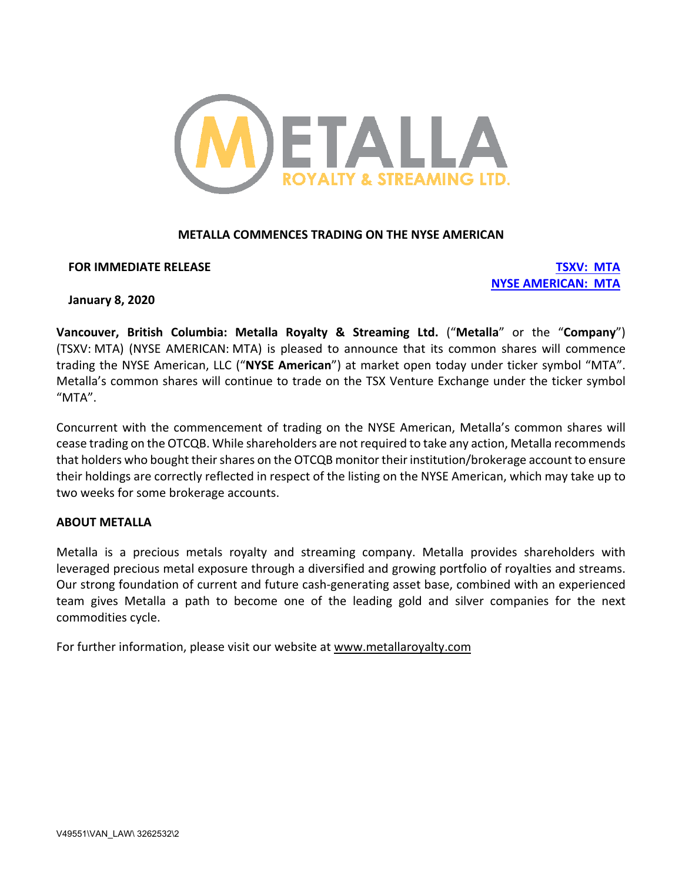

# **METALLA COMMENCES TRADING ON THE NYSE AMERICAN**

#### **FOR IMMEDIATE RELEASE TSXV: MTA**

**NYSE AMERICAN: MTA**

# **January 8, 2020**

**Vancouver, British Columbia: Metalla Royalty & Streaming Ltd.** ("**Metalla**" or the "**Company**") (TSXV: MTA) (NYSE AMERICAN: MTA) is pleased to announce that its common shares will commence trading the NYSE American, LLC ("**NYSE American**") at market open today under ticker symbol "MTA". Metalla's common shares will continue to trade on the TSX Venture Exchange under the ticker symbol "MTA".

Concurrent with the commencement of trading on the NYSE American, Metalla's common shares will cease trading on the OTCQB. While shareholders are not required to take any action, Metalla recommends that holders who bought their shares on the OTCQB monitor their institution/brokerage account to ensure their holdings are correctly reflected in respect of the listing on the NYSE American, which may take up to two weeks for some brokerage accounts.

# **ABOUT METALLA**

Metalla is a precious metals royalty and streaming company. Metalla provides shareholders with leveraged precious metal exposure through a diversified and growing portfolio of royalties and streams. Our strong foundation of current and future cash-generating asset base, combined with an experienced team gives Metalla a path to become one of the leading gold and silver companies for the next commodities cycle.

For further information, please visit our website at www.metallaroyalty.com